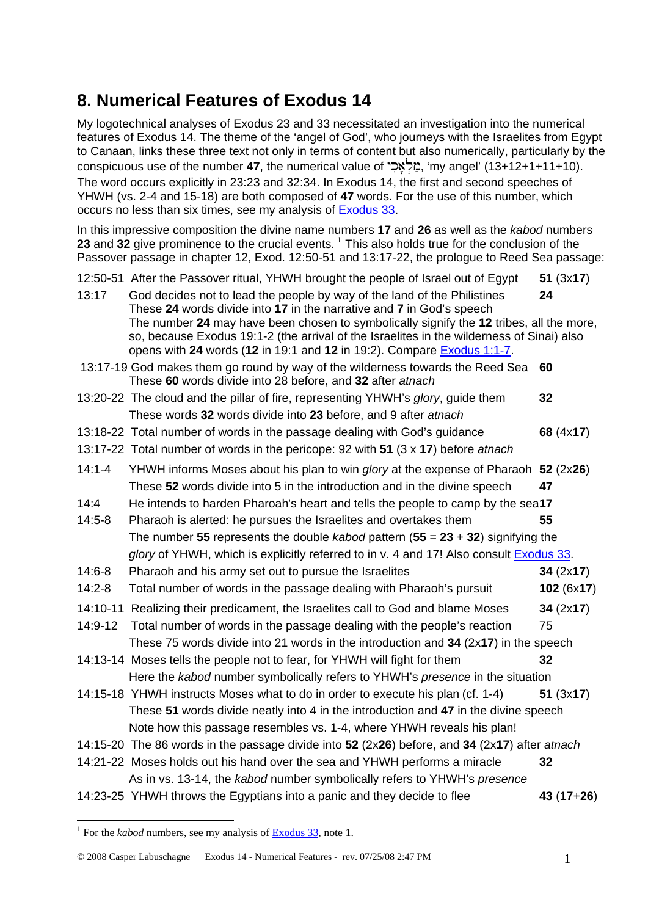## **8. Numerical Features of Exodus 14**

My logotechnical analyses of Exodus 23 and 33 necessitated an investigation into the numerical features of Exodus 14. The theme of the 'angel of God', who journeys with the Israelites from Egypt to Canaan, links these three text not only in terms of content but also numerically, particularly by the conspicuous use of the number **47**, the numerical value of יְמַלְאֵכָ", 'my angel' (13+12+1+11+10). The word occurs explicitly in 23:23 and 32:34. In Exodus 14, the first and second speeches of YHWH (vs. 2-4 and 15-18) are both composed of **47** words. For the use of this number, which occurs no less than six times, see my analysis of [Exodus 33](http://www.labuschagne.nl/7.exod33.pdf).

In this impressive composition the divine name numbers **17** and **26** as well as the *kabod* numbers 23 and 32 give prominence to the crucial events.<sup>[1](#page-0-0)</sup> This also holds true for the conclusion of the Passover passage in chapter 12, Exod. 12:50-51 and 13:17-22, the prologue to Reed Sea passage:

|            | 12:50-51 After the Passover ritual, YHWH brought the people of Israel out of Egypt                                                                                                                                                          | 51(3x17)    |
|------------|---------------------------------------------------------------------------------------------------------------------------------------------------------------------------------------------------------------------------------------------|-------------|
| 13:17      | God decides not to lead the people by way of the land of the Philistines<br>These 24 words divide into 17 in the narrative and 7 in God's speech<br>The number 24 may have been chosen to symbolically signify the 12 tribes, all the more, | 24          |
|            | so, because Exodus 19:1-2 (the arrival of the Israelites in the wilderness of Sinai) also<br>opens with 24 words (12 in 19:1 and 12 in 19:2). Compare Exodus 1:1-7.                                                                         |             |
|            | 13:17-19 God makes them go round by way of the wilderness towards the Reed Sea<br>These 60 words divide into 28 before, and 32 after atnach                                                                                                 | 60          |
|            | 13:20-22 The cloud and the pillar of fire, representing YHWH's glory, guide them                                                                                                                                                            | 32          |
|            | These words 32 words divide into 23 before, and 9 after atnach                                                                                                                                                                              |             |
|            | 13:18-22 Total number of words in the passage dealing with God's guidance                                                                                                                                                                   | 68 (4x17)   |
|            | 13:17-22 Total number of words in the pericope: 92 with 51 (3 x 17) before atnach                                                                                                                                                           |             |
| $14:1 - 4$ | YHWH informs Moses about his plan to win glory at the expense of Pharaoh 52 (2x26)                                                                                                                                                          |             |
|            | These 52 words divide into 5 in the introduction and in the divine speech                                                                                                                                                                   | 47          |
| 14:4       | He intends to harden Pharoah's heart and tells the people to camp by the sea17                                                                                                                                                              |             |
| $14:5-8$   | Pharaoh is alerted: he pursues the Israelites and overtakes them                                                                                                                                                                            | 55          |
|            | The number 55 represents the double kabod pattern $(55 = 23 + 32)$ signifying the                                                                                                                                                           |             |
|            | glory of YHWH, which is explicitly referred to in v. 4 and 17! Also consult <b>Exodus 33.</b>                                                                                                                                               |             |
| $14:6-8$   | Pharaoh and his army set out to pursue the Israelites                                                                                                                                                                                       | 34 (2x17)   |
| $14:2 - 8$ | Total number of words in the passage dealing with Pharaoh's pursuit                                                                                                                                                                         | 102(6x17)   |
|            | 14:10-11 Realizing their predicament, the Israelites call to God and blame Moses                                                                                                                                                            | 34 (2x17)   |
| 14:9-12    | Total number of words in the passage dealing with the people's reaction                                                                                                                                                                     | 75          |
|            | These 75 words divide into 21 words in the introduction and $34$ ( $2x17$ ) in the speech                                                                                                                                                   |             |
|            | 14:13-14 Moses tells the people not to fear, for YHWH will fight for them                                                                                                                                                                   | 32          |
|            | Here the kabod number symbolically refers to YHWH's presence in the situation                                                                                                                                                               |             |
|            | 14:15-18 YHWH instructs Moses what to do in order to execute his plan (cf. 1-4)                                                                                                                                                             | 51(3x17)    |
|            | These 51 words divide neatly into 4 in the introduction and 47 in the divine speech                                                                                                                                                         |             |
|            | Note how this passage resembles vs. 1-4, where YHWH reveals his plan!                                                                                                                                                                       |             |
|            | 14:15-20 The 86 words in the passage divide into 52 (2x26) before, and 34 (2x17) after atnach                                                                                                                                               |             |
|            | 14:21-22 Moses holds out his hand over the sea and YHWH performs a miracle                                                                                                                                                                  | 32          |
|            | As in vs. 13-14, the kabod number symbolically refers to YHWH's presence                                                                                                                                                                    |             |
|            | 14:23-25 YHWH throws the Egyptians into a panic and they decide to flee                                                                                                                                                                     | $43(17+26)$ |

1

<span id="page-0-0"></span><sup>&</sup>lt;sup>1</sup> For the *kabod* numbers, see my analysis of **Exodus 33**, note 1.

<sup>© 2008</sup> Casper Labuschagne Exodus 14 - Numerical Features - rev. 07/25/08 2:47 PM 1